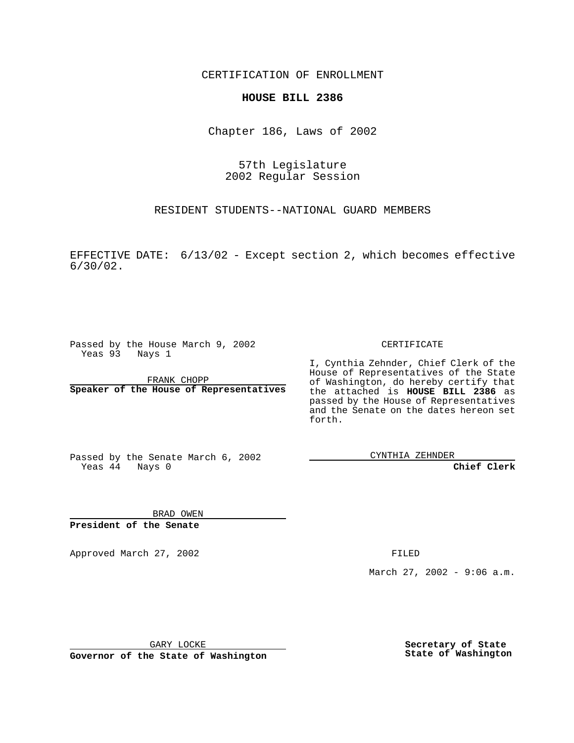CERTIFICATION OF ENROLLMENT

## **HOUSE BILL 2386**

Chapter 186, Laws of 2002

57th Legislature 2002 Regular Session

RESIDENT STUDENTS--NATIONAL GUARD MEMBERS

EFFECTIVE DATE: 6/13/02 - Except section 2, which becomes effective 6/30/02.

Passed by the House March 9, 2002 Yeas 93 Nays 1

FRANK CHOPP **Speaker of the House of Representatives** CERTIFICATE

I, Cynthia Zehnder, Chief Clerk of the House of Representatives of the State of Washington, do hereby certify that the attached is **HOUSE BILL 2386** as passed by the House of Representatives and the Senate on the dates hereon set forth.

Passed by the Senate March 6, 2002 Yeas  $44$  Nays 0

CYNTHIA ZEHNDER

**Chief Clerk**

BRAD OWEN **President of the Senate**

Approved March 27, 2002 **FILED** 

March 27, 2002 - 9:06 a.m.

GARY LOCKE

**Governor of the State of Washington**

**Secretary of State State of Washington**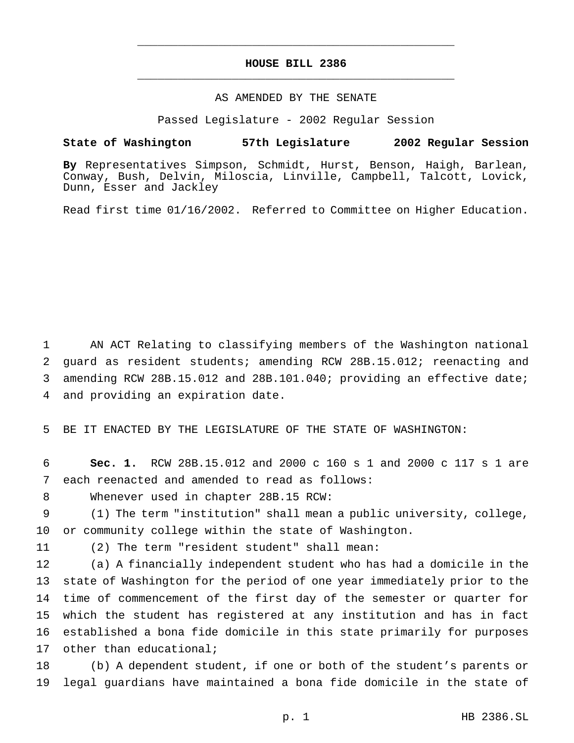## **HOUSE BILL 2386** \_\_\_\_\_\_\_\_\_\_\_\_\_\_\_\_\_\_\_\_\_\_\_\_\_\_\_\_\_\_\_\_\_\_\_\_\_\_\_\_\_\_\_\_\_\_\_

\_\_\_\_\_\_\_\_\_\_\_\_\_\_\_\_\_\_\_\_\_\_\_\_\_\_\_\_\_\_\_\_\_\_\_\_\_\_\_\_\_\_\_\_\_\_\_

## AS AMENDED BY THE SENATE

Passed Legislature - 2002 Regular Session

## **State of Washington 57th Legislature 2002 Regular Session**

**By** Representatives Simpson, Schmidt, Hurst, Benson, Haigh, Barlean, Conway, Bush, Delvin, Miloscia, Linville, Campbell, Talcott, Lovick, Dunn, Esser and Jackley

Read first time 01/16/2002. Referred to Committee on Higher Education.

 AN ACT Relating to classifying members of the Washington national guard as resident students; amending RCW 28B.15.012; reenacting and amending RCW 28B.15.012 and 28B.101.040; providing an effective date; and providing an expiration date.

5 BE IT ENACTED BY THE LEGISLATURE OF THE STATE OF WASHINGTON:

6 **Sec. 1.** RCW 28B.15.012 and 2000 c 160 s 1 and 2000 c 117 s 1 are 7 each reenacted and amended to read as follows:

8 Whenever used in chapter 28B.15 RCW:

9 (1) The term "institution" shall mean a public university, college, 10 or community college within the state of Washington.

11 (2) The term "resident student" shall mean:

 (a) A financially independent student who has had a domicile in the state of Washington for the period of one year immediately prior to the time of commencement of the first day of the semester or quarter for which the student has registered at any institution and has in fact established a bona fide domicile in this state primarily for purposes 17 other than educational;

18 (b) A dependent student, if one or both of the student's parents or 19 legal guardians have maintained a bona fide domicile in the state of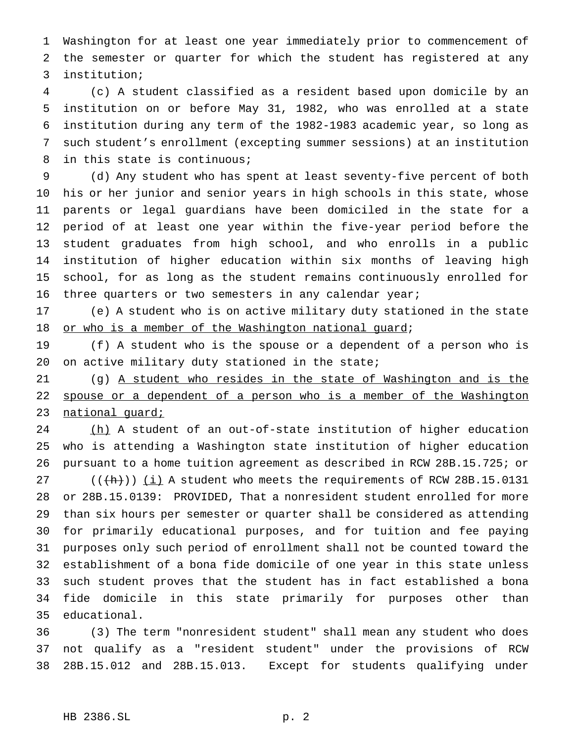Washington for at least one year immediately prior to commencement of the semester or quarter for which the student has registered at any institution;

 (c) A student classified as a resident based upon domicile by an institution on or before May 31, 1982, who was enrolled at a state institution during any term of the 1982-1983 academic year, so long as such student's enrollment (excepting summer sessions) at an institution in this state is continuous;

 (d) Any student who has spent at least seventy-five percent of both his or her junior and senior years in high schools in this state, whose parents or legal guardians have been domiciled in the state for a period of at least one year within the five-year period before the student graduates from high school, and who enrolls in a public institution of higher education within six months of leaving high school, for as long as the student remains continuously enrolled for 16 three quarters or two semesters in any calendar year;

 (e) A student who is on active military duty stationed in the state 18 or who is a member of the Washington national guard;

 (f) A student who is the spouse or a dependent of a person who is 20 on active military duty stationed in the state;

 (g) A student who resides in the state of Washington and is the 22 spouse or a dependent of a person who is a member of the Washington 23 national guard;

24 (h) A student of an out-of-state institution of higher education who is attending a Washington state institution of higher education pursuant to a home tuition agreement as described in RCW 28B.15.725; or

 $((+h))$  (i) A student who meets the requirements of RCW 28B.15.0131 or 28B.15.0139: PROVIDED, That a nonresident student enrolled for more than six hours per semester or quarter shall be considered as attending for primarily educational purposes, and for tuition and fee paying purposes only such period of enrollment shall not be counted toward the establishment of a bona fide domicile of one year in this state unless such student proves that the student has in fact established a bona fide domicile in this state primarily for purposes other than educational.

 (3) The term "nonresident student" shall mean any student who does not qualify as a "resident student" under the provisions of RCW 28B.15.012 and 28B.15.013. Except for students qualifying under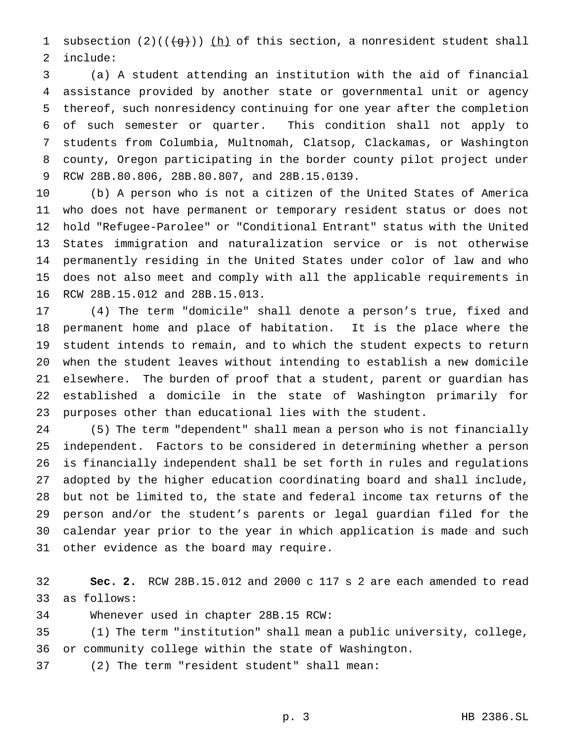1 subsection  $(2)((\{g\}))$  (h) of this section, a nonresident student shall include:

 (a) A student attending an institution with the aid of financial assistance provided by another state or governmental unit or agency thereof, such nonresidency continuing for one year after the completion of such semester or quarter. This condition shall not apply to students from Columbia, Multnomah, Clatsop, Clackamas, or Washington county, Oregon participating in the border county pilot project under RCW 28B.80.806, 28B.80.807, and 28B.15.0139.

 (b) A person who is not a citizen of the United States of America who does not have permanent or temporary resident status or does not hold "Refugee-Parolee" or "Conditional Entrant" status with the United States immigration and naturalization service or is not otherwise permanently residing in the United States under color of law and who does not also meet and comply with all the applicable requirements in RCW 28B.15.012 and 28B.15.013.

 (4) The term "domicile" shall denote a person's true, fixed and permanent home and place of habitation. It is the place where the student intends to remain, and to which the student expects to return when the student leaves without intending to establish a new domicile elsewhere. The burden of proof that a student, parent or guardian has established a domicile in the state of Washington primarily for purposes other than educational lies with the student.

 (5) The term "dependent" shall mean a person who is not financially independent. Factors to be considered in determining whether a person is financially independent shall be set forth in rules and regulations adopted by the higher education coordinating board and shall include, but not be limited to, the state and federal income tax returns of the person and/or the student's parents or legal guardian filed for the calendar year prior to the year in which application is made and such other evidence as the board may require.

 **Sec. 2.** RCW 28B.15.012 and 2000 c 117 s 2 are each amended to read as follows:

Whenever used in chapter 28B.15 RCW:

 (1) The term "institution" shall mean a public university, college, or community college within the state of Washington.

(2) The term "resident student" shall mean: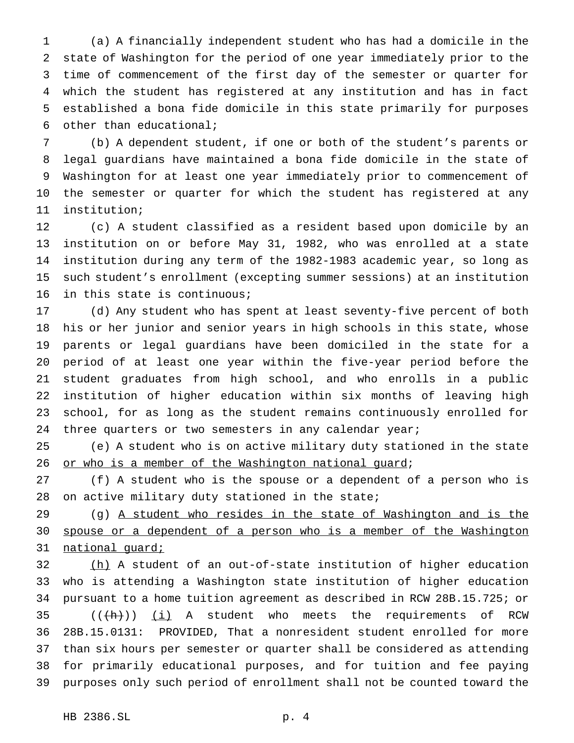(a) A financially independent student who has had a domicile in the state of Washington for the period of one year immediately prior to the time of commencement of the first day of the semester or quarter for which the student has registered at any institution and has in fact established a bona fide domicile in this state primarily for purposes other than educational;

 (b) A dependent student, if one or both of the student's parents or legal guardians have maintained a bona fide domicile in the state of Washington for at least one year immediately prior to commencement of the semester or quarter for which the student has registered at any institution;

 (c) A student classified as a resident based upon domicile by an institution on or before May 31, 1982, who was enrolled at a state institution during any term of the 1982-1983 academic year, so long as such student's enrollment (excepting summer sessions) at an institution in this state is continuous;

 (d) Any student who has spent at least seventy-five percent of both his or her junior and senior years in high schools in this state, whose parents or legal guardians have been domiciled in the state for a period of at least one year within the five-year period before the student graduates from high school, and who enrolls in a public institution of higher education within six months of leaving high school, for as long as the student remains continuously enrolled for 24 three quarters or two semesters in any calendar year;

 (e) A student who is on active military duty stationed in the state 26 or who is a member of the Washington national guard;

 (f) A student who is the spouse or a dependent of a person who is 28 on active military duty stationed in the state;

 (g) A student who resides in the state of Washington and is the spouse or a dependent of a person who is a member of the Washington national guard;

32 (h) A student of an out-of-state institution of higher education who is attending a Washington state institution of higher education pursuant to a home tuition agreement as described in RCW 28B.15.725; or  $((\text{+h})^2)(i)$  A student who meets the requirements of RCW 28B.15.0131: PROVIDED, That a nonresident student enrolled for more than six hours per semester or quarter shall be considered as attending for primarily educational purposes, and for tuition and fee paying purposes only such period of enrollment shall not be counted toward the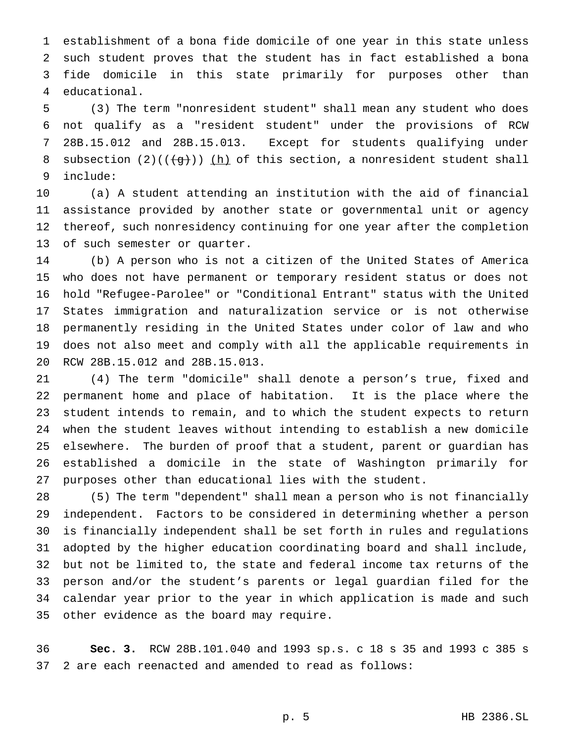establishment of a bona fide domicile of one year in this state unless such student proves that the student has in fact established a bona fide domicile in this state primarily for purposes other than educational.

 (3) The term "nonresident student" shall mean any student who does not qualify as a "resident student" under the provisions of RCW 28B.15.012 and 28B.15.013. Except for students qualifying under 8 subsection  $(2)((\{g\}))$  (h) of this section, a nonresident student shall include:

 (a) A student attending an institution with the aid of financial assistance provided by another state or governmental unit or agency thereof, such nonresidency continuing for one year after the completion of such semester or quarter.

 (b) A person who is not a citizen of the United States of America who does not have permanent or temporary resident status or does not hold "Refugee-Parolee" or "Conditional Entrant" status with the United States immigration and naturalization service or is not otherwise permanently residing in the United States under color of law and who does not also meet and comply with all the applicable requirements in RCW 28B.15.012 and 28B.15.013.

 (4) The term "domicile" shall denote a person's true, fixed and permanent home and place of habitation. It is the place where the student intends to remain, and to which the student expects to return when the student leaves without intending to establish a new domicile elsewhere. The burden of proof that a student, parent or guardian has established a domicile in the state of Washington primarily for purposes other than educational lies with the student.

 (5) The term "dependent" shall mean a person who is not financially independent. Factors to be considered in determining whether a person is financially independent shall be set forth in rules and regulations adopted by the higher education coordinating board and shall include, but not be limited to, the state and federal income tax returns of the person and/or the student's parents or legal guardian filed for the calendar year prior to the year in which application is made and such other evidence as the board may require.

 **Sec. 3.** RCW 28B.101.040 and 1993 sp.s. c 18 s 35 and 1993 c 385 s 2 are each reenacted and amended to read as follows: